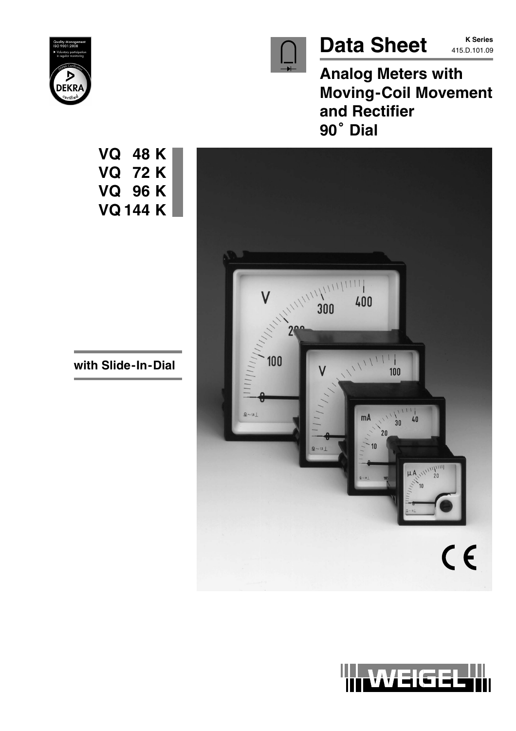

# Data Sheet **K Series**

**K Series**

**Analog Meters with Moving-Coil Movement and Rectifier** Moving·<br>and Rec<br>90<sup>°</sup> Dial







**VQ 48 K VQ 72 K VQ 96 K VQ 144 K**

**with Slide-In-Dial**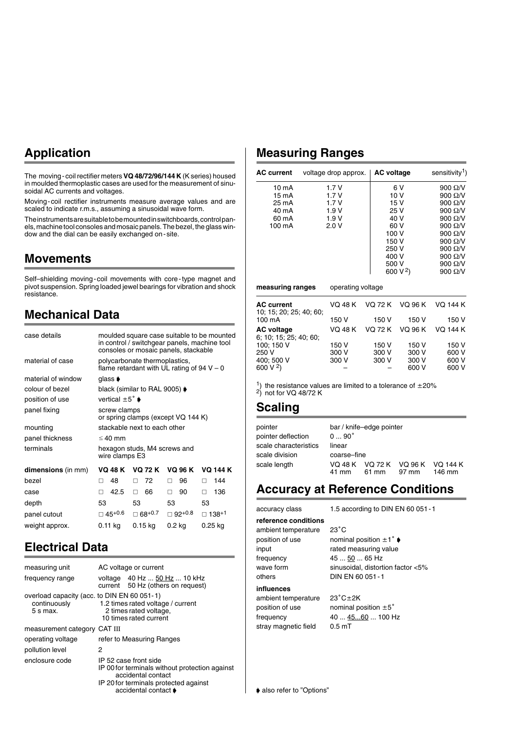## **Application**

The moving-coil rectifier meters **VQ 48/72/96/144 K** (K series) housed in moulded thermoplastic cases are used for the measurement of sinusoidal AC currents and voltages.

Moving-coil rectifier instruments measure average values and are scaled to indicate r.m.s., assuming a sinusoidal wave form.

The instruments are suitable to be mounted in switchboards, control panels, machine tool consoles and mosaic panels. The bezel, the glass window and the dial can be easily exchanged on-site.

## **Movements**

Self–shielding moving-coil movements with core-type magnet and pivot suspension. Spring loaded jewel bearings for vibration and shock resistance.

## **Mechanical Data**

| case details              | moulded square case suitable to be mounted<br>in control / switchgear panels, machine tool<br>consoles or mosaic panels, stackable |                                             |          |                 |
|---------------------------|------------------------------------------------------------------------------------------------------------------------------------|---------------------------------------------|----------|-----------------|
| material of case          | polycarbonate thermoplastics,<br>flame retardant with UL rating of $94 V - 0$                                                      |                                             |          |                 |
| material of window        | glass $\blacktriangleright$                                                                                                        |                                             |          |                 |
| colour of bezel           |                                                                                                                                    | black (similar to RAL 9005) $\blacklozenge$ |          |                 |
| position of use           | vertical $\pm 5^{\circ}$ $\bullet$                                                                                                 |                                             |          |                 |
| panel fixing              | screw clamps                                                                                                                       | or spring clamps (except VQ 144 K)          |          |                 |
| mounting                  |                                                                                                                                    | stackable next to each other                |          |                 |
| panel thickness           | $\leq$ 40 mm                                                                                                                       |                                             |          |                 |
| terminals                 | hexagon studs, M4 screws and<br>wire clamps E3                                                                                     |                                             |          |                 |
| <b>dimensions</b> (in mm) | VQ 48 K                                                                                                                            | VQ 72 K                                     | VQ 96 K  | <b>VQ 144 K</b> |
| hezel                     | 48<br>п                                                                                                                            | 72<br>п                                     | 96<br>п  | 144<br>п        |
| case                      | 42.5<br>п                                                                                                                          | 66<br>п                                     | 90<br>п  | 136<br>п        |
| depth                     | 53                                                                                                                                 | 53                                          | 53       | 53              |
| panel cutout              | □ 45+0.6                                                                                                                           | $\square$ 68+0.7                            | ⊠ 92+0.8 | □ 138+1         |
| weight approx.            | $0.11$ kg                                                                                                                          | 0.15 kg                                     | $0.2$ kg | $0.25$ kg       |
|                           |                                                                                                                                    |                                             |          |                 |

## **Electrical Data**

| measuring unit                                                            | AC voltage or current |                                                                                                                                                                |
|---------------------------------------------------------------------------|-----------------------|----------------------------------------------------------------------------------------------------------------------------------------------------------------|
| frequency range                                                           |                       | voltage 40 Hz  50 Hz  10 kHz<br>current 50 Hz (others on request)                                                                                              |
| overload capacity (acc. to DIN EN 60 051-1)<br>continuously<br>$5 s$ max. |                       | 1.2 times rated voltage / current<br>2 times rated voltage,<br>10 times rated current                                                                          |
| measurement category CAT III                                              |                       |                                                                                                                                                                |
| operating voltage                                                         |                       | refer to Measuring Ranges                                                                                                                                      |
| pollution level                                                           | 2                     |                                                                                                                                                                |
| enclosure code                                                            |                       | IP 52 case front side<br>IP 00 for terminals without protection against<br>accidental contact<br>IP 20 for terminals protected against<br>accidental contact ♦ |

## **Measuring Ranges**

| <b>AC current</b> | voltage drop approx. | <b>AC voltage</b>    | sensitivity <sup>1</sup> ) |
|-------------------|----------------------|----------------------|----------------------------|
| $10 \text{ mA}$   | 1.7V                 | 6 V                  | 900 $\Omega$ /V            |
| 15 mA             | 1.7V                 | 10 <sub>V</sub>      | 900 $\Omega$ /V            |
| 25 mA             | 1.7V                 | 15 V                 | 900 $\Omega$ /V            |
| 40 mA             | 1.9V                 | 25 V                 | $900 \Omega/V$             |
| 60 mA             | 1.9V                 | 40 V                 | 900 $\Omega$ /V            |
| 100 mA            | 2.0V                 | 60 V                 | 900 $\Omega$ /V            |
|                   |                      | 100 V                | 900 $\Omega$ /V            |
|                   |                      | 150 V                | $900 \Omega/V$             |
|                   |                      | 250 V                | 900 $\Omega$ /V            |
|                   |                      | 400 V                | 900 $\Omega$ /V            |
|                   |                      | 500 V                | $900 \Omega/V$             |
|                   |                      | 600 V <sup>2</sup> ) | 900 $\Omega$ /V            |
| measuring ranges  | operating voltage    |                      |                            |

| <b>AC current</b><br>10; 15; 20; 25; 40; 60; | VQ 48 K |                | VQ 72 K VQ 96 K | VO 144 K        |
|----------------------------------------------|---------|----------------|-----------------|-----------------|
| 100 mA                                       | 150 V   | 150 V          | 150 V           | 150 V           |
| <b>AC voltage</b>                            | VQ 48 K | <b>VO 72 K</b> | VQ 96 K         | <b>VO 144 K</b> |
| 6; 10; 15; 25; 40; 60;                       |         |                |                 |                 |
| 100; 150 V                                   | 150 V   | 150 V          | 150 V           | 150 V           |
| 250 V                                        | 300 V   | 300 V          | 300 V           | 600 V           |
| 400: 500 V                                   | 300 V   | 300 V          | 300 V           | 600 V           |
| 600 V <sup>2</sup> )                         |         |                | 600 V           | 600 V           |

<sup>1</sup>) the resistance values are limited to a tolerance of  $\pm 20\%$  $^{2}$ ) not for VQ 48/72 K

### **Scaling**

| pointer<br>pointer deflection | $090^\circ$ | bar / knife-edge pointer |       |                                            |
|-------------------------------|-------------|--------------------------|-------|--------------------------------------------|
| scale characteristics         | linear      |                          |       |                                            |
| scale division                | coarse-fine |                          |       |                                            |
| scale length                  | 41 mm       | 61 mm                    | 97 mm | VQ 48 K VQ 72 K VQ 96 K VQ 144 K<br>146 mm |

### **Accuracy at Reference Conditions**

**reference conditions**

accuracy class 1.5 according to DIN EN 60 051-1

ambient temperature others DIN EN 60 051 - 1

 $23^{\circ}$ C position of use nominal position  $\pm 1^{\circ}$ input rated measuring value frequency 45 ... 50 ... 65 Hz wave form sinusoidal, distortion factor <5%

#### **influences**

ambient temperature stray magnetic field 0.5 mT

 $23^{\circ}$ C $\pm$ 2K position of use nominal position  $\pm 5^{\circ}$ frequency 40 ... 45...60 ... 100 Hz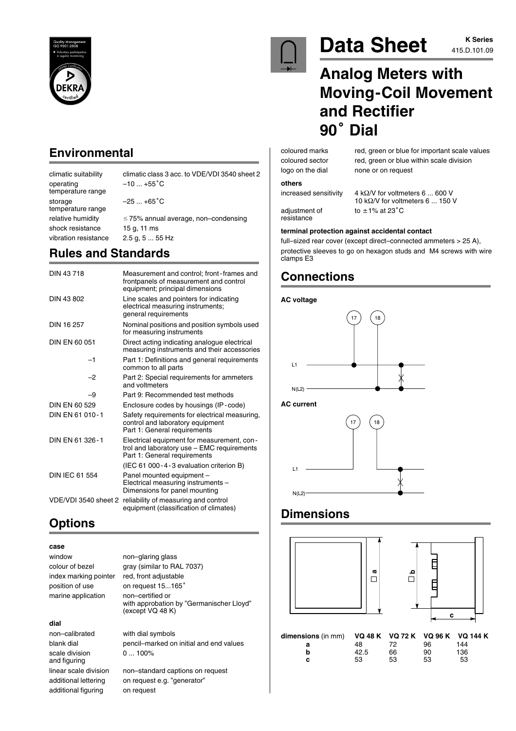

## **Environmental**

climatic suitability climatic class 3 acc. to VDE/VDI 3540 sheet 2 operating  $-10...+55^{\circ}C$ temperature range storage  $-25...+65^{\circ}$ C temperature range relative humidity 75% annual average, non–condensing shock resistance 15 g, 11 ms vibration resistance 2.5 g, 5 ... 55 Hz

## **Rules and Standards**

| DIN 43718            | Measurement and control; front-frames and<br>frontpanels of measurement and control<br>equipment; principal dimensions   |
|----------------------|--------------------------------------------------------------------------------------------------------------------------|
| DIN 43 802           | Line scales and pointers for indicating<br>electrical measuring instruments;<br>general requirements                     |
| DIN 16 257           | Nominal positions and position symbols used<br>for measuring instruments                                                 |
| DIN EN 60 051        | Direct acting indicating analogue electrical<br>measuring instruments and their accessories                              |
| $-1$                 | Part 1: Definitions and general requirements<br>common to all parts                                                      |
| -2                   | Part 2: Special requirements for ammeters<br>and voltmeters                                                              |
| -9                   | Part 9: Recommended test methods                                                                                         |
| DIN EN 60 529        | Enclosure codes by housings (IP-code)                                                                                    |
| DIN FN 61 010-1      | Safety requirements for electrical measuring,<br>control and laboratory equipment<br>Part 1: General requirements        |
| DIN FN 61 326-1      | Electrical equipment for measurement, con-<br>trol and laboratory use - EMC requirements<br>Part 1: General requirements |
|                      | (IEC 61 000-4-3 evaluation criterion B)                                                                                  |
| DIN IEC 61 554       | Panel mounted equipment -<br>Electrical measuring instruments -<br>Dimensions for panel mounting                         |
| VDE/VDI 3540 sheet 2 | reliability of measuring and control<br>equipment (classification of climates)                                           |

## **Options**

### **case**

| window                | non-glaring glass                                                                |
|-----------------------|----------------------------------------------------------------------------------|
| colour of bezel       | gray (similar to RAL 7037)                                                       |
| index marking pointer | red, front adjustable                                                            |
| position of use       | on request 15165°                                                                |
| marine application    | non-certified or<br>with approbation by "Germanischer Lloyd"<br>(except VQ 48 K) |
| dial                  |                                                                                  |

non–calibrated with dial symbols scale division 0 ... 100% and figuring additional figuring on request

blank dial pencil–marked on initial and end values

linear scale division non–standard captions on request additional lettering on request e.g. "generator"



## Data Sheet **Allect K** Series

# **K Series**

# **Analog Meters with Moving-Coil Movement <sup>90</sup> Dial and Rectifier**

coloured marks red, green or blue for important scale values coloured sector red, green or blue within scale division logo on the dial none or on request

#### **others**

resistance

increased sensitivity  $4 k\Omega/V$  for voltmeters 6 ... 600 V 10 k $\Omega$ /V for voltmeters 6 ... 150 V adjustment of  $t_0 \pm 1\%$  at 23 $^{\circ}$ C

#### **terminal protection against accidental contact**

full–sized rear cover (except direct–connected ammeters > 25 A), protective sleeves to go on hexagon studs and M4 screws with wire clamps E3

## **Connections**

### **AC voltage**



**AC current**



## **Dimensions**



**b** 42.5 66 90 136 **c** 53 53 53 53